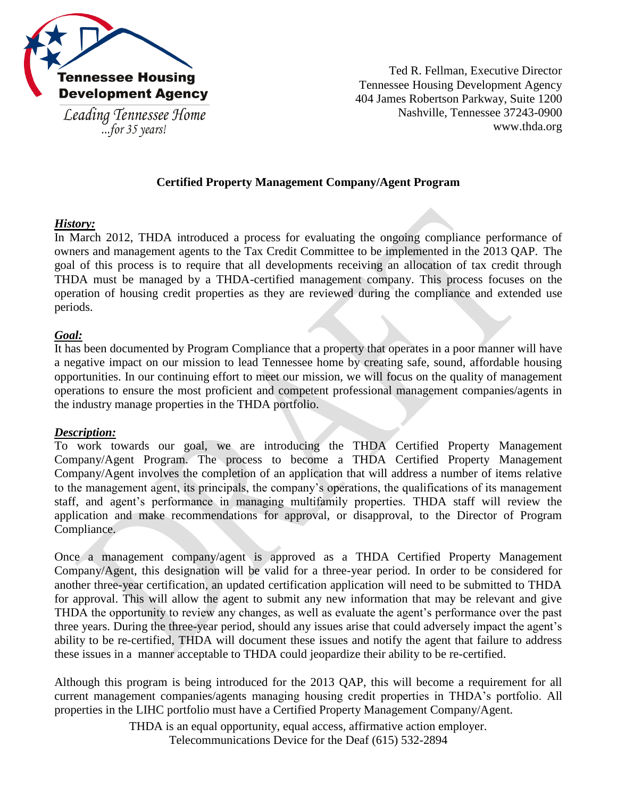

...for  $35$  years!

Ted R. Fellman, Executive Director Tennessee Housing Development Agency 404 James Robertson Parkway, Suite 1200 Nashville, Tennessee 37243-0900 www.thda.org

## **Certified Property Management Company/Agent Program**

## *History:*

In March 2012, THDA introduced a process for evaluating the ongoing compliance performance of owners and management agents to the Tax Credit Committee to be implemented in the 2013 QAP. The goal of this process is to require that all developments receiving an allocation of tax credit through THDA must be managed by a THDA-certified management company. This process focuses on the operation of housing credit properties as they are reviewed during the compliance and extended use periods.

### *Goal:*

It has been documented by Program Compliance that a property that operates in a poor manner will have a negative impact on our mission to lead Tennessee home by creating safe, sound, affordable housing opportunities. In our continuing effort to meet our mission, we will focus on the quality of management operations to ensure the most proficient and competent professional management companies/agents in the industry manage properties in the THDA portfolio.

#### *Description:*

To work towards our goal, we are introducing the THDA Certified Property Management Company/Agent Program. The process to become a THDA Certified Property Management Company/Agent involves the completion of an application that will address a number of items relative to the management agent, its principals, the company's operations, the qualifications of its management staff, and agent's performance in managing multifamily properties. THDA staff will review the application and make recommendations for approval, or disapproval, to the Director of Program Compliance.

Once a management company/agent is approved as a THDA Certified Property Management Company/Agent, this designation will be valid for a three-year period. In order to be considered for another three-year certification, an updated certification application will need to be submitted to THDA for approval. This will allow the agent to submit any new information that may be relevant and give THDA the opportunity to review any changes, as well as evaluate the agent's performance over the past three years. During the three-year period, should any issues arise that could adversely impact the agent's ability to be re-certified, THDA will document these issues and notify the agent that failure to address these issues in a manner acceptable to THDA could jeopardize their ability to be re-certified.

Although this program is being introduced for the 2013 QAP, this will become a requirement for all current management companies/agents managing housing credit properties in THDA's portfolio. All properties in the LIHC portfolio must have a Certified Property Management Company/Agent.

> THDA is an equal opportunity, equal access, affirmative action employer. Telecommunications Device for the Deaf (615) 532-2894